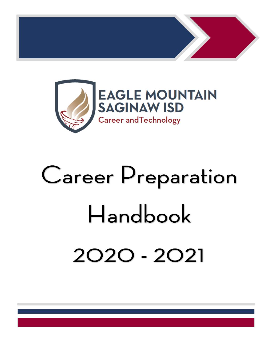

# **Career Preparation** Handbook 2020 - 2021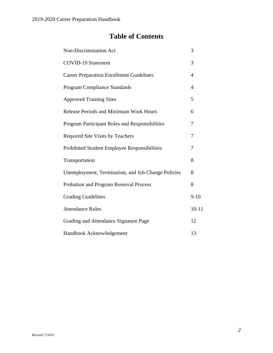# **Table of Contents**

| <b>Non-Discrimination Act</b>                      | 3              |
|----------------------------------------------------|----------------|
| <b>COVID-19 Statement</b>                          | 3              |
| <b>Career Preparation Enrollment Guidelines</b>    | $\overline{4}$ |
| <b>Program Compliance Standards</b>                | 4              |
| <b>Approved Training Sites</b>                     | 5              |
| <b>Release Periods and Minimum Work Hours</b>      | 6              |
| Program Participant Roles and Responsibilities     | 7              |
| <b>Required Site Visits by Teachers</b>            | 7              |
| Prohibited Student Employee Responsibilities       | 7              |
| Transportation                                     | 8              |
| Unemployment, Termination, and Job Change Policies | 8              |
| Probation and Program Removal Process              | 8              |
| <b>Grading Guidelines</b>                          | $9 - 10$       |
| <b>Attendance Rules</b>                            | $10 - 11$      |
| Grading and Attendance Signature Page              | 12             |
| Handbook Acknowledgement                           | 13             |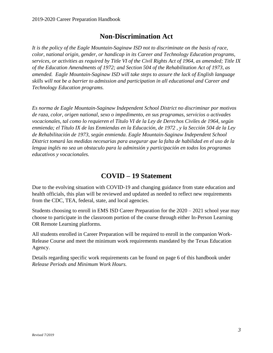## **Non-Discrimination Act**

*It is the policy of the Eagle Mountain-Saginaw ISD not to discriminate on the basis of race, color, national origin, gender, or handicap in its Career and Technology Education programs, services, or activities as required by Title VI of the Civil Rights Act of 1964, as amended; Title IX of the Education Amendments of 1972; and Section 504 of the Rehabilitation Act of 1973, as amended. Eagle Mountain-Saginaw ISD will take steps to assure the lack of English language skills will not be a barrier to admission and participation in all educational and Career and Technology Education programs.*

*Es norma de Eagle Mountain-Saginaw Independent School District no discriminar por motivos de raza, color, origen national, sexo o impedimento, en sus programas, servicios o activades vocacionales, tal como lo requieren el Título VI de la Ley de Derechos Civiles de 1964, según enmienda; el Título IX de las Enmiendas en la Educación, de 1972 , y la Sección 504 de la Ley de Rehabilitación de 1973, según enmienda. Eagle Mountain-Saginaw Independent School District tomará las medidas necesarias para asegurar que la falta de habilidad en el uso de la lengua inglés no sea un obstaculo para la adminsión y participación en todos los programas educativos y vocacionales.*

#### **COVID – 19 Statement**

Due to the evolving situation with COVID-19 and changing guidance from state education and health officials, this plan will be reviewed and updated as needed to reflect new requirements from the CDC, TEA, federal, state, and local agencies.

Students choosing to enroll in EMS ISD Career Preparation for the 2020 – 2021 school year may choose to participate in the classroom portion of the course through either In-Person Learning OR Remote Learning platforms.

All students enrolled in Career Preparation will be required to enroll in the companion Work-Release Course and meet the minimum work requirements mandated by the Texas Education Agency.

Details regarding specific work requirements can be found on page 6 of this handbook under *Release Periods and Minimum Work Hours.*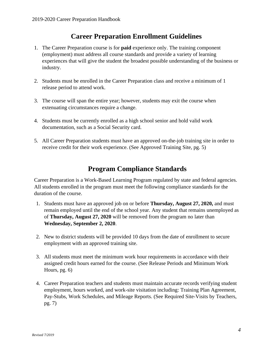#### **Career Preparation Enrollment Guidelines**

- 1. The Career Preparation course is for **paid** experience only. The training component (employment) must address all course standards and provide a variety of learning experiences that will give the student the broadest possible understanding of the business or industry.
- 2. Students must be enrolled in the Career Preparation class and receive a minimum of 1 release period to attend work.
- 3. The course will span the entire year; however, students may exit the course when extenuating circumstances require a change.
- 4. Students must be currently enrolled as a high school senior and hold valid work documentation, such as a Social Security card.
- 5. All Career Preparation students must have an approved on-the-job training site in order to receive credit for their work experience. (See Approved Training Site, pg. 5)

## **Program Compliance Standards**

Career Preparation is a Work-Based Learning Program regulated by state and federal agencies. All students enrolled in the program must meet the following compliance standards for the duration of the course.

- 1. Students must have an approved job on or before **Thursday, August 27, 2020,** and must remain employed until the end of the school year. Any student that remains unemployed as of **Thursday, August 27, 2020** will be removed from the program no later than **Wednesday, September 2, 2020**.
- 2. New to district students will be provided 10 days from the date of enrollment to secure employment with an approved training site.
- 3. All students must meet the minimum work hour requirements in accordance with their assigned credit hours earned for the course. (See Release Periods and Minimum Work Hours, pg. 6)
- 4. Career Preparation teachers and students must maintain accurate records verifying student employment, hours worked, and work-site visitation including: Training Plan Agreement, Pay-Stubs, Work Schedules, and Mileage Reports. (See Required Site-Visits by Teachers, pg. 7)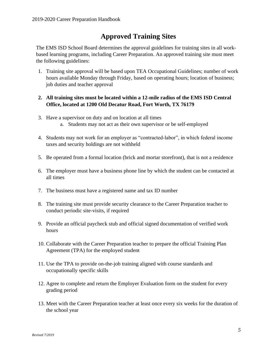## **Approved Training Sites**

The EMS ISD School Board determines the approval guidelines for training sites in all workbased learning programs, including Career Preparation. An approved training site must meet the following guidelines:

1. Training site approval will be based upon TEA Occupational Guidelines; number of work hours available Monday through Friday, based on operating hours; location of business; job duties and teacher approval

#### **2. All training sites must be located within a 12-mile radius of the EMS ISD Central Office, located at 1200 Old Decatur Road, Fort Worth, TX 76179**

- 3. Have a supervisor on duty and on location at all times a. Students may not act as their own supervisor or be self-employed
- 4. Students may not work for an employer as "contracted-labor", in which federal income taxes and security holdings are not withheld
- 5. Be operated from a formal location (brick and mortar storefront), that is not a residence
- 6. The employer must have a business phone line by which the student can be contacted at all times
- 7. The business must have a registered name and tax ID number
- 8. The training site must provide security clearance to the Career Preparation teacher to conduct periodic site-visits, if required
- 9. Provide an official paycheck stub and official signed documentation of verified work hours
- 10. Collaborate with the Career Preparation teacher to prepare the official Training Plan Agreement (TPA) for the employed student
- 11. Use the TPA to provide on-the-job training aligned with course standards and occupationally specific skills
- 12. Agree to complete and return the Employer Evaluation form on the student for every grading period
- 13. Meet with the Career Preparation teacher at least once every six weeks for the duration of the school year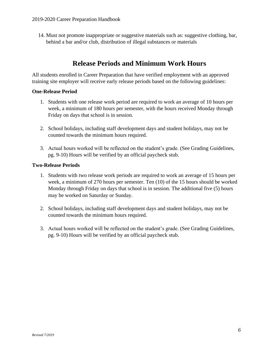14. Must not promote inappropriate or suggestive materials such as: suggestive clothing, bar, behind a bar and/or club, distribution of illegal substances or materials

#### **Release Periods and Minimum Work Hours**

All students enrolled in Career Preparation that have verified employment with an approved training site employer will receive early release periods based on the following guidelines:

#### **One-Release Period**

- 1. Students with one release work period are required to work an average of 10 hours per week, a minimum of 180 hours per semester, with the hours received Monday through Friday on days that school is in session.
- 2. School holidays, including staff development days and student holidays, may not be counted towards the minimum hours required.
- 3. Actual hours worked will be reflected on the student's grade. (See Grading Guidelines, pg. 9-10) Hours will be verified by an official paycheck stub.

#### **Two-Release Periods**

- 1. Students with two release work periods are required to work an average of 15 hours per week, a minimum of 270 hours per semester. Ten (10) of the 15 hours should be worked Monday through Friday on days that school is in session. The additional five (5) hours may be worked on Saturday or Sunday.
- 2. School holidays, including staff development days and student holidays, may not be counted towards the minimum hours required.
- 3. Actual hours worked will be reflected on the student's grade. (See Grading Guidelines, pg. 9-10) Hours will be verified by an official paycheck stub.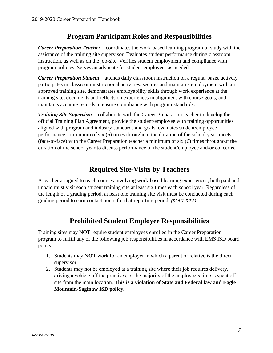#### **Program Participant Roles and Responsibilities**

*Career Preparation Teacher* – coordinates the work-based learning program of study with the assistance of the training site supervisor. Evaluates student performance during classroom instruction, as well as on the job-site. Verifies student employment and compliance with program policies. Serves an advocate for student employees as needed.

*Career Preparation Student* – attends daily classroom instruction on a regular basis, actively participates in classroom instructional activities, secures and maintains employment with an approved training site, demonstrates employability skills through work experience at the training site, documents and reflects on experiences in alignment with course goals, and maintains accurate records to ensure compliance with program standards.

*Training Site Supervisor* – collaborate with the Career Preparation teacher to develop the official Training Plan Agreement, provide the student/employee with training opportunities aligned with program and industry standards and goals, evaluates student/employee performance a minimum of six (6) times throughout the duration of the school year, meets (face-to-face) with the Career Preparation teacher a minimum of six (6) times throughout the duration of the school year to discuss performance of the student/employee and/or concerns.

## **Required Site-Visits by Teachers**

A teacher assigned to teach courses involving work-based learning experiences, both paid and unpaid must visit each student training site at least six times each school year. Regardless of the length of a grading period, at least one training site visit must be conducted during each grading period to earn contact hours for that reporting period. *(SAAH, 5.7.5)*

## **Prohibited Student Employee Responsibilities**

Training sites may NOT require student employees enrolled in the Career Preparation program to fulfill any of the following job responsibilities in accordance with EMS ISD board policy:

- 1. Students may **NOT** work for an employer in which a parent or relative is the direct supervisor.
- 2. Students may not be employed at a training site where their job requires delivery, driving a vehicle off the premises, or the majority of the employee's time is spent off site from the main location. **This is a violation of State and Federal law and Eagle Mountain-Saginaw ISD policy.**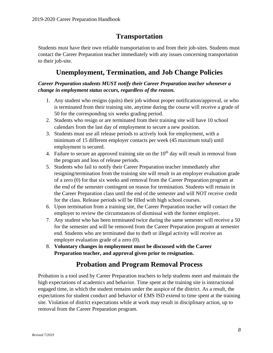## **Transportation**

Students must have their own reliable transportation to and from their job-sites. Students must contact the Career Preparation teacher immediately with any issues concerning transportation to their job-site.

#### **Unemployment, Termination, and Job Change Policies**

#### *Career Preparation students MUST notify their Career Preparation teacher whenever a change in employment status occurs, regardless of the reason.*

- 1. Any student who resigns (quits) their job without proper notification/approval, or who is terminated from their training site, anytime during the course will receive a grade of 50 for the corresponding six weeks grading period.
- 2. Students who resign or are terminated from their training site will have 10 school calendars from the last day of employment to secure a new position.
- 3. Students must use all release periods to actively look for employment, with a minimum of 15 different employer contacts per week (45 maximum total) until employment is secured.
- 4. Failure to secure an approved training site on the  $10<sup>th</sup>$  day will result in removal from the program and loss of release periods.
- 5. Students who fail to notify their Career Preparation teacher immediately after resigning/termination from the training site will result in an employer evaluation grade of a zero (0) for that six weeks and removal from the Career Preparation program at the end of the semester contingent on reason for termination. Students will remain in the Career Preparation class until the end of the semester and will NOT receive credit for the class. Release periods will be filled with high school courses.
- 6. Upon termination from a training site, the Career Preparation teacher will contact the employer to review the circumstances of dismissal with the former employer.
- 7. Any student who has been terminated twice during the same semester will receive a 50 for the semester and will be removed from the Career Preparation program at semester end. Students who are terminated due to theft or illegal activity will receive an employer evaluation grade of a zero (0).
- 8. **Voluntary changes in employment must be discussed with the Career Preparation teacher, and approval given prior to resignation.**

# **Probation and Program Removal Process**

Probation is a tool used by Career Preparation teachers to help students meet and maintain the high expectations of academics and behavior. Time spent at the training site is instructional engaged time, in which the student remains under the auspice of the district. As a result, the expectations for student conduct and behavior of EMS ISD extend to time spent at the training site. Violation of district expectations while at work may result in disciplinary action, up to removal from the Career Preparation program.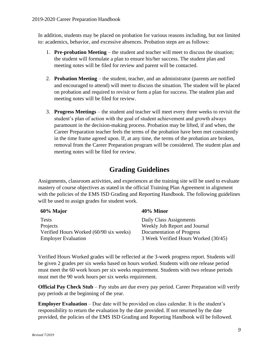In addition, students may be placed on probation for various reasons including, but not limited to: academics, behavior, and excessive absences. Probation steps are as follows:

- 1. **Pre-probation Meeting** the student and teacher will meet to discuss the situation; the student will formulate a plan to ensure his/her success. The student plan and meeting notes will be filed for review and parent will be contacted.
- 2. **Probation Meeting** the student, teacher, and an administrator (parents are notified and encouraged to attend) will meet to discuss the situation. The student will be placed on probation and required to revisit or form a plan for success. The student plan and meeting notes will be filed for review.
- 3. **Progress Meetings** the student and teacher will meet every three weeks to revisit the student's plan of action with the goal of student achievement and growth always paramount in the decision-making process. Probation may be lifted, if and when, the Career Preparation teacher feels the terms of the probation have been met consistently in the time frame agreed upon. If, at any time, the terms of the probation are broken, removal from the Career Preparation program will be considered. The student plan and meeting notes will be filed for review.

## **Grading Guidelines**

Assignments, classroom activities, and experiences at the training site will be used to evaluate mastery of course objectives as stated in the official Training Plan Agreement in alignment with the policies of the EMS ISD Grading and Reporting Handbook. The following guidelines will be used to assign grades for student work.

| 60% Major                               | 40% Minor                            |
|-----------------------------------------|--------------------------------------|
| <b>Tests</b>                            | Daily Class Assignments              |
| Projects                                | Weekly Job Report and Journal        |
| Verified Hours Worked (60/90 six weeks) | Documentation of Progress            |
| <b>Employer Evaluation</b>              | 3 Week Verified Hours Worked (30/45) |

Verified Hours Worked grades will be reflected at the 3-week progress report. Students will be given 2 grades per six weeks based on hours worked. Students with one release period must meet the 60 work hours per six weeks requirement. Students with two release periods must met the 90 work hours per six weeks requirement.

**Official Pay Check Stub** – Pay stubs are due every pay period. Career Preparation will verify pay periods at the beginning of the year.

**Employer Evaluation** – Due date will be provided on class calendar. It is the student's responsibility to return the evaluation by the date provided. If not returned by the date provided, the policies of the EMS ISD Grading and Reporting Handbook will be followed.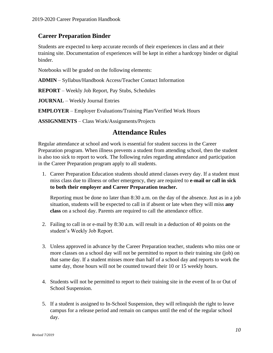#### **Career Preparation Binder**

Students are expected to keep accurate records of their experiences in class and at their training site. Documentation of experiences will be kept in either a hardcopy binder or digital binder.

Notebooks will be graded on the following elements:

**ADMIN** – Syllabus/Handbook Access/Teacher Contact Information

**REPORT** – Weekly Job Report, Pay Stubs, Schedules

**JOURNAL** – Weekly Journal Entries

**EMPLOYER** – Employer Evaluations/Training Plan/Verified Work Hours

**ASSIGNMENTS** – Class Work/Assignments/Projects

#### **Attendance Rules**

Regular attendance at school and work is essential for student success in the Career Preparation program. When illness prevents a student from attending school, then the student is also too sick to report to work. The following rules regarding attendance and participation in the Career Preparation program apply to all students.

1. Career Preparation Education students should attend classes every day. If a student must miss class due to illness or other emergency, they are required to **e-mail or call in sick to both their employer and Career Preparation teacher.** 

Reporting must be done no later than 8:30 a.m. on the day of the absence. Just as in a job situation, students will be expected to call in if absent or late when they will miss **any class** on a school day. Parents are required to call the attendance office.

- 2. Failing to call in or e-mail by 8:30 a.m. will result in a deduction of 40 points on the student's Weekly Job Report.
- 3. Unless approved in advance by the Career Preparation teacher, students who miss one or more classes on a school day will not be permitted to report to their training site (job) on that same day. If a student misses more than half of a school day and reports to work the same day, those hours will not be counted toward their 10 or 15 weekly hours.
- 4. Students will not be permitted to report to their training site in the event of In or Out of School Suspension.
- 5. If a student is assigned to In-School Suspension, they will relinquish the right to leave campus for a release period and remain on campus until the end of the regular school day.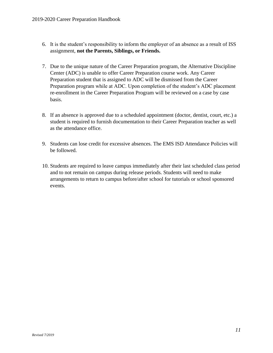- 6. It is the student's responsibility to inform the employer of an absence as a result of ISS assignment, **not the Parents, Siblings, or Friends.**
- 7. Due to the unique nature of the Career Preparation program, the Alternative Discipline Center (ADC) is unable to offer Career Preparation course work. Any Career Preparation student that is assigned to ADC will be dismissed from the Career Preparation program while at ADC. Upon completion of the student's ADC placement re-enrollment in the Career Preparation Program will be reviewed on a case by case basis.
- 8. If an absence is approved due to a scheduled appointment (doctor, dentist, court, etc.) a student is required to furnish documentation to their Career Preparation teacher as well as the attendance office.
- 9. Students can lose credit for excessive absences. The EMS ISD Attendance Policies will be followed.
- 10. Students are required to leave campus immediately after their last scheduled class period and to not remain on campus during release periods. Students will need to make arrangements to return to campus before/after school for tutorials or school sponsored events.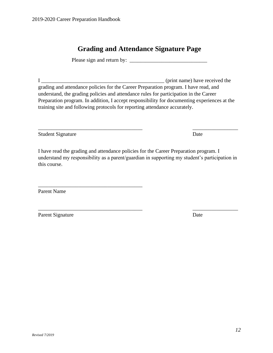Parent Name

understand my responsibility as a parent/guardian in supporting my student's participation in this course.

grading and attendance policies for the Career Preparation program. I have read, and understand, the grading policies and attendance rules for participation in the Career Preparation program. In addition, I accept responsibility for documenting experiences at the training site and following protocols for reporting attendance accurately.

Please sign and return by: \_\_\_\_\_\_\_\_\_\_\_\_\_\_\_\_\_\_\_\_\_\_\_\_\_\_\_\_\_

**Grading and Attendance Signature Page**

I \_\_\_\_\_\_\_\_\_\_\_\_\_\_\_\_\_\_\_\_\_\_\_\_\_\_\_\_\_\_\_\_\_\_\_\_\_\_\_\_\_\_\_\_\_\_ (print name) have received the

2019-2020 Career Preparation Handbook

I have read the grading and attendance policies for the Career Preparation program. I

\_\_\_\_\_\_\_\_\_\_\_\_\_\_\_\_\_\_\_\_\_\_\_\_\_\_\_\_\_\_\_\_\_\_\_\_\_\_\_

\_\_\_\_\_\_\_\_\_\_\_\_\_\_\_\_\_\_\_\_\_\_\_\_\_\_\_\_\_\_\_\_\_\_\_\_\_\_\_ \_\_\_\_\_\_\_\_\_\_\_\_\_\_\_\_\_ Parent Signature Date

*12*

\_\_\_\_\_\_\_\_\_\_\_\_\_\_\_\_\_\_\_\_\_\_\_\_\_\_\_\_\_\_\_\_\_\_\_\_\_\_\_ \_\_\_\_\_\_\_\_\_\_\_\_\_\_\_\_\_ Student Signature Date